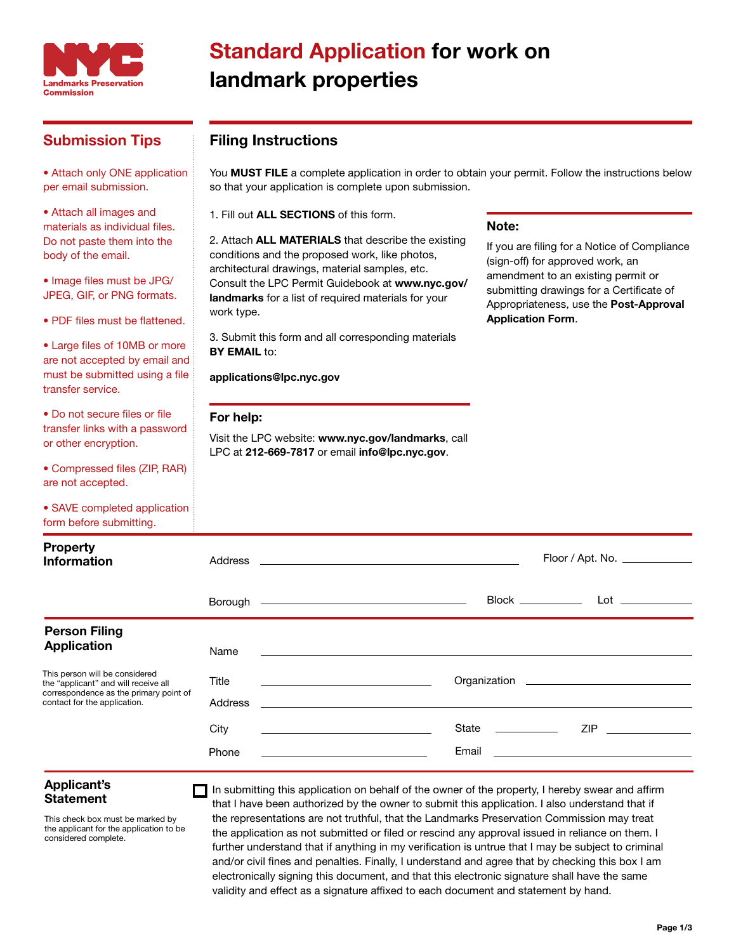

## Standard Application for work on landmark properties

### Submission Tips

• Attach only ONE application per email submission.

• Attach all images and materials as individual files. Do not paste them into the body of the email.

• Image files must be JPG/ JPEG, GIF, or PNG formats.

• PDF files must be flattened.

• Large files of 10MB or more are not accepted by email and must be submitted using a file transfer service.

• Do not secure files or file transfer links with a password or other encryption.

• Compressed files (ZIP, RAR) are not accepted.

• SAVE completed application

Filing Instructions

You MUST FILE a complete application in order to obtain your permit. Follow the instructions below so that your application is complete upon submission.

1. Fill out ALL SECTIONS of this form.

2. Attach **ALL MATERIALS** that describe the existing conditions and the proposed work, like photos, architectural drawings, material samples, etc. Consult the LPC Permit Guidebook at www.nyc.gov/ landmarks for a list of required materials for your work type.

3. Submit this form and all corresponding materials **BY EMAIL to:** 

#### applications@lpc.nyc.gov

#### For help:

Visit the LPC website: www.nyc.gov/landmarks, call LPC at 212-669-7817 or email info@lpc.nyc.gov.

#### Note:

If you are filing for a Notice of Compliance (sign-off) for approved work, an amendment to an existing permit or submitting drawings for a Certificate of Appropriateness, use the Post-Approval Application Form.

| form before submitting.                                                                                                                                                                        |                                           |                                                                                                                                                                                                           |  |  |  |  |
|------------------------------------------------------------------------------------------------------------------------------------------------------------------------------------------------|-------------------------------------------|-----------------------------------------------------------------------------------------------------------------------------------------------------------------------------------------------------------|--|--|--|--|
| <b>Property</b><br>Information                                                                                                                                                                 | Address                                   | <u> Alexandria de la contrada de la contrada de la contrada de la contrada de la contrada de la contrada de la c</u>                                                                                      |  |  |  |  |
|                                                                                                                                                                                                |                                           | Block ___________<br>Borough ————————————————————                                                                                                                                                         |  |  |  |  |
| <b>Person Filing</b><br><b>Application</b><br>This person will be considered<br>the "applicant" and will receive all<br>correspondence as the primary point of<br>contact for the application. | Name<br>Title<br>Address<br>City<br>Phone | <u> 1999 - John Stein, Amerikaansk politiker (</u><br><u> 1989 - Johann Stoff, deutscher Stoff, der Stoff, der Stoff, der Stoff, der Stoff, der Stoff, der Stoff, der S</u><br>State ___________<br>Email |  |  |  |  |

# Applicant's

This check box must be marked by the applicant for the application to be considered complete.

**Statement** In submitting this application on behalf of the owner of the property, I hereby swear and affirm **Statement** that I have been authorized by the owner to submit this application. I also understand that if the representations are not truthful, that the Landmarks Preservation Commission may treat the application as not submitted or filed or rescind any approval issued in reliance on them. I further understand that if anything in my verification is untrue that I may be subject to criminal and/or civil fines and penalties. Finally, I understand and agree that by checking this box I am electronically signing this document, and that this electronic signature shall have the same validity and effect as a signature affixed to each document and statement by hand.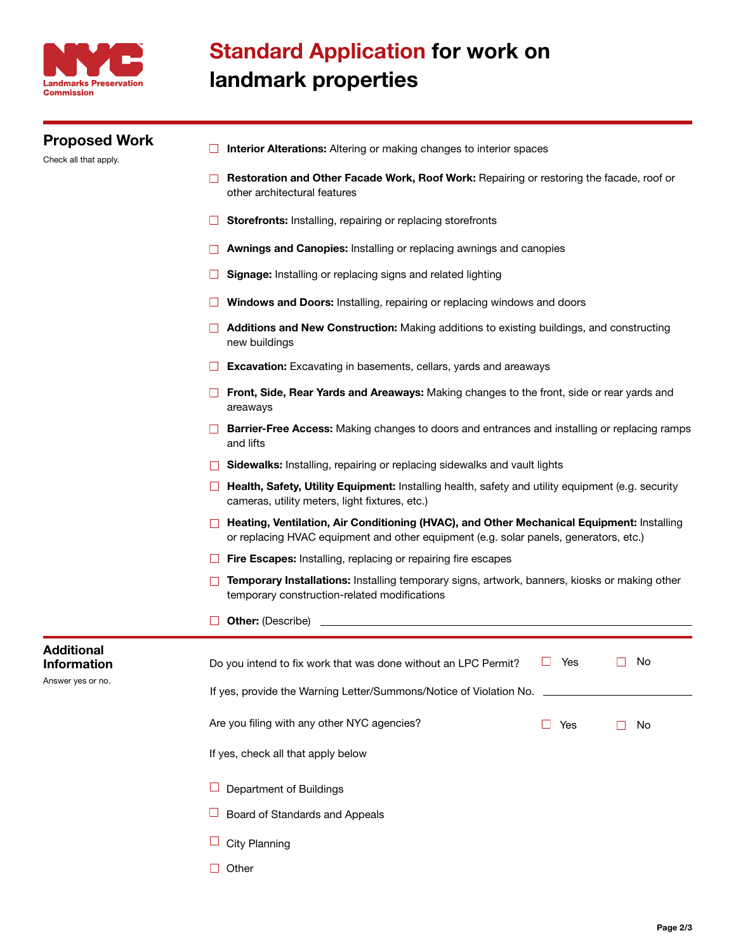

| <b>Proposed Work</b><br>Check all that apply. | Interior Alterations: Altering or making changes to interior spaces<br>Restoration and Other Facade Work, Roof Work: Repairing or restoring the facade, roof or<br>other architectural features |                                                                             |  |  |  |  |  |  |                                                                                                                                                                                                                                                                                                                                                                                                                                                                                                                                                                                                                                                                                                                                                                                                                                                                                                                                                                                                                                                                                                                                                                                                                                                                                                                                                    |  |  |  |  |  |  |  |  |  |  |
|-----------------------------------------------|-------------------------------------------------------------------------------------------------------------------------------------------------------------------------------------------------|-----------------------------------------------------------------------------|--|--|--|--|--|--|----------------------------------------------------------------------------------------------------------------------------------------------------------------------------------------------------------------------------------------------------------------------------------------------------------------------------------------------------------------------------------------------------------------------------------------------------------------------------------------------------------------------------------------------------------------------------------------------------------------------------------------------------------------------------------------------------------------------------------------------------------------------------------------------------------------------------------------------------------------------------------------------------------------------------------------------------------------------------------------------------------------------------------------------------------------------------------------------------------------------------------------------------------------------------------------------------------------------------------------------------------------------------------------------------------------------------------------------------|--|--|--|--|--|--|--|--|--|--|
|                                               |                                                                                                                                                                                                 |                                                                             |  |  |  |  |  |  | Storefronts: Installing, repairing or replacing storefronts<br>Awnings and Canopies: Installing or replacing awnings and canopies<br><b>Signage:</b> Installing or replacing signs and related lighting<br>Windows and Doors: Installing, repairing or replacing windows and doors<br><b>Additions and New Construction:</b> Making additions to existing buildings, and constructing<br>new buildings<br><b>Excavation:</b> Excavating in basements, cellars, yards and areaways<br>Front, Side, Rear Yards and Areaways: Making changes to the front, side or rear yards and<br>areaways<br>Barrier-Free Access: Making changes to doors and entrances and installing or replacing ramps<br>and lifts<br>Sidewalks: Installing, repairing or replacing sidewalks and vault lights<br>Health, Safety, Utility Equipment: Installing health, safety and utility equipment (e.g. security<br>cameras, utility meters, light fixtures, etc.)<br>Heating, Ventilation, Air Conditioning (HVAC), and Other Mechanical Equipment: Installing<br>or replacing HVAC equipment and other equipment (e.g. solar panels, generators, etc.)<br>Fire Escapes: Installing, replacing or repairing fire escapes<br>Temporary Installations: Installing temporary signs, artwork, banners, kiosks or making other<br>temporary construction-related modifications |  |  |  |  |  |  |  |  |  |  |
|                                               | <b>Other: (Describe)</b>                                                                                                                                                                        |                                                                             |  |  |  |  |  |  |                                                                                                                                                                                                                                                                                                                                                                                                                                                                                                                                                                                                                                                                                                                                                                                                                                                                                                                                                                                                                                                                                                                                                                                                                                                                                                                                                    |  |  |  |  |  |  |  |  |  |  |
|                                               | Additional<br><b>Information</b><br>Answer yes or no.                                                                                                                                           | No<br>Yes<br>Do you intend to fix work that was done without an LPC Permit? |  |  |  |  |  |  |                                                                                                                                                                                                                                                                                                                                                                                                                                                                                                                                                                                                                                                                                                                                                                                                                                                                                                                                                                                                                                                                                                                                                                                                                                                                                                                                                    |  |  |  |  |  |  |  |  |  |  |
|                                               |                                                                                                                                                                                                 | If yes, provide the Warning Letter/Summons/Notice of Violation No.          |  |  |  |  |  |  |                                                                                                                                                                                                                                                                                                                                                                                                                                                                                                                                                                                                                                                                                                                                                                                                                                                                                                                                                                                                                                                                                                                                                                                                                                                                                                                                                    |  |  |  |  |  |  |  |  |  |  |
|                                               |                                                                                                                                                                                                 | Are you filing with any other NYC agencies?<br>Yes<br>No                    |  |  |  |  |  |  |                                                                                                                                                                                                                                                                                                                                                                                                                                                                                                                                                                                                                                                                                                                                                                                                                                                                                                                                                                                                                                                                                                                                                                                                                                                                                                                                                    |  |  |  |  |  |  |  |  |  |  |
|                                               |                                                                                                                                                                                                 | If yes, check all that apply below                                          |  |  |  |  |  |  |                                                                                                                                                                                                                                                                                                                                                                                                                                                                                                                                                                                                                                                                                                                                                                                                                                                                                                                                                                                                                                                                                                                                                                                                                                                                                                                                                    |  |  |  |  |  |  |  |  |  |  |
|                                               |                                                                                                                                                                                                 | Department of Buildings                                                     |  |  |  |  |  |  |                                                                                                                                                                                                                                                                                                                                                                                                                                                                                                                                                                                                                                                                                                                                                                                                                                                                                                                                                                                                                                                                                                                                                                                                                                                                                                                                                    |  |  |  |  |  |  |  |  |  |  |
|                                               |                                                                                                                                                                                                 | Board of Standards and Appeals                                              |  |  |  |  |  |  |                                                                                                                                                                                                                                                                                                                                                                                                                                                                                                                                                                                                                                                                                                                                                                                                                                                                                                                                                                                                                                                                                                                                                                                                                                                                                                                                                    |  |  |  |  |  |  |  |  |  |  |
|                                               |                                                                                                                                                                                                 | <b>City Planning</b>                                                        |  |  |  |  |  |  |                                                                                                                                                                                                                                                                                                                                                                                                                                                                                                                                                                                                                                                                                                                                                                                                                                                                                                                                                                                                                                                                                                                                                                                                                                                                                                                                                    |  |  |  |  |  |  |  |  |  |  |

 $\Box$  Other